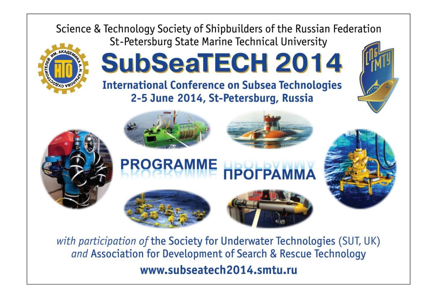

with participation of the Society for Underwater Technologies (SUT, UK) and Association for Development of Search & Rescue Technology www.subseatech2014.smtu.ru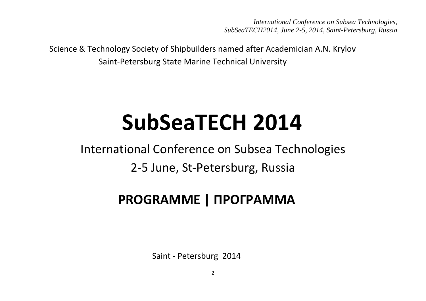Science & Technology Society of Shipbuilders named after Academician A.N. Krylov Saint-Petersburg State Marine Technical University

# **SubSeaTECH 2014**

International Conference on Subsea Technologies 2-5 June, St-Petersburg, Russia

# **PROGRAMME | ПРОГРАММА**

Saint - Petersburg 2014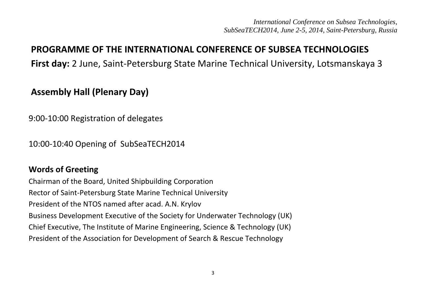# **PROGRAMME OF THE INTERNATIONAL CONFERENCE OF SUBSEA TECHNOLOGIES**

**First day:** 2 June, Saint-Petersburg State Marine Technical University, Lotsmanskaya 3

# **Assembly Hall (Plenary Day)**

9:00-10:00 Registration of delegates

10:00-10:40 Opening of SubSeaTECH2014

## **Words of Greeting**

Chairman of the Board, United Shipbuilding Corporation Rector of Saint-Petersburg State Marine Technical University President of the NTOS named after acad. A.N. Krylov Business Development Executive of the Society for Underwater Technology (UK) Chief Executive, The Institute of Marine Engineering, Science & Technology (UK) President of the Association for Development of Search & Rescue Technology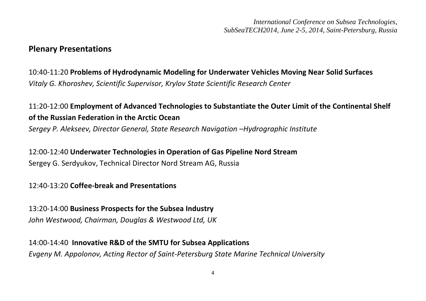#### **Plenary Presentations**

10:40-11:20 **Problems of Hydrodynamic Modeling for Underwater Vehicles Moving Near Solid Surfaces**  *Vitaly G. Khoroshev, Scientific Supervisor, Krylov State Scientific Research Center*

11:20-12:00 **Employment of Advanced Technologies to Substantiate the Outer Limit of the Continental Shelf of the Russian Federation in the Arctic Ocean** *Sergey P. Alekseev, Director General, State Research Navigation –Hydrographic Institute* 

12:00-12:40 **Underwater Technologies in Operation of Gas Pipeline Nord Stream** Sergey G. Serdyukov, Technical Director Nord Stream AG, Russia

12:40-13:20 **Coffee-break and Presentations**

13:20-14:00 **Business Prospects for the Subsea Industry** *John Westwood, Chairman, Douglas & Westwood Ltd, UK*

14:00-14:40 **Innovative R&D of the SMTU for Subsea Applications**

*Evgeny M. Appolonov, Acting Rector of Saint-Petersburg State Marine Technical University*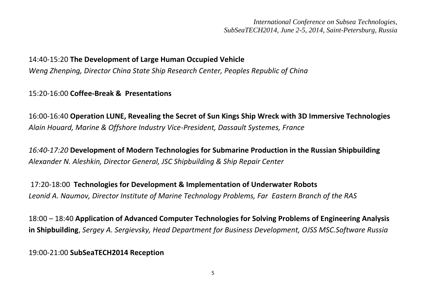#### 14:40-15:20 **The Development of Large Human Occupied Vehicle**

*Weng Zhenping, Director China State Ship Research Center, Peoples Republic of China*

15:20-16:00 **Coffee-Break & Presentations**

16:00-16:40 **Operation LUNE, Revealing the Secret of Sun Kings Ship Wreck with 3D Immersive Technologies** *Alain Houard, Marine & Offshore Industry Vice-President, Dassault Systemes, France*

*16:40-17:20* **Development of Modern Technologies for Submarine Production in the Russian Shipbuilding** *Alexander N. Aleshkin, Director General, JSC Shipbuilding & Ship Repair Center*

17:20-18:00 **Technologies for Development & Implementation of Underwater Robots** *Leonid A. Naumov, Director Institute of Marine Technology Problems, Far Eastern Branch of the RAS* 

18:00 – 18:40 **Application of Advanced Computer Technologies for Solving Problems of Engineering Analysis in Shipbuilding**, *Sergey A. Sergievsky, Head Department for Business Development, OJSS MSC.Software Russia*

19:00-21:00 **SubSeaTECH2014 Reception**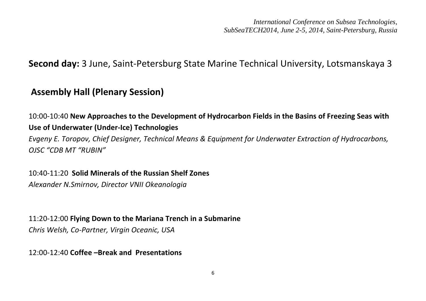**Second day:** 3 June, Saint-Petersburg State Marine Technical University, Lotsmanskaya 3

# **Assembly Hall (Plenary Session)**

10:00-10:40 **New Approaches to the Development of Hydrocarbon Fields in the Basins of Freezing Seas with Use of Underwater (Under-Ice) Technologies**

*Evgeny E. Toropov, Chief Designer, Technical Means & Equipment for Underwater Extraction of Hydrocarbons, OJSC "CDB MT "RUBIN"*

10:40-11:20 **Solid Minerals of the Russian Shelf Zones**

*Alexander N.Smirnov, Director VNII Okeanologia*

11:20-12:00 **Flying Down to the Mariana Trench in a Submarine**

*Chris Welsh, Co-Partner, Virgin Oceanic, USA*

12:00-12:40 **Coffee –Break and Presentations**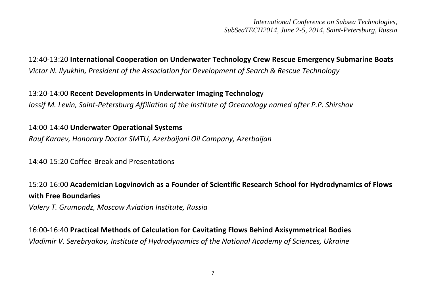12:40-13:20 **International Cooperation on Underwater Technology Crew Rescue Emergency Submarine Boats** *Victor N. Ilyukhin, President of the Association for Development of Search & Rescue Technology*

13:20-14:00 **Recent Developments in Underwater Imaging Technolog**y *Iossif M. Levin, Saint-Petersburg Affiliation of the Institute of Oceanology named after P.P. Shirshov*

14:00-14:40 **Underwater Operational Systems** *Rauf Karaev, Honorary Doctor SMTU, Azerbaijani Oil Company, Azerbaijan* 

14:40-15:20 Coffee-Break and Presentations

15:20-16:00 **Academician Logvinovich as a Founder of Scientific Research School for Hydrodynamics of Flows with Free Boundaries**

*Valery T. Grumondz, Moscow Aviation Institute, Russia*

16:00-16:40 **Practical Methods of Calculation for Cavitating Flows Behind Axisymmetrical Bodies** *Vladimir V. Serebryakov, Institute of Hydrodynamics of the National Academy of Sciences, Ukraine*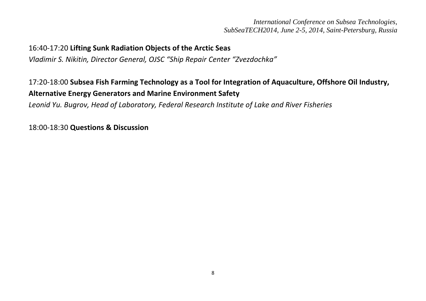#### 16:40-17:20 **Lifting Sunk Radiation Objects of the Arctic Seas**

*Vladimir S. Nikitin, Director General, OJSC "Ship Repair Center "Zvezdochka"*

# 17:20-18:00 **Subsea Fish Farming Technology as a Tool for Integration of Aquaculture, Offshore Oil Industry, Alternative Energy Generators and Marine Environment Safety**

*Leonid Yu. Bugrov, Head of Laboratory, Federal Research Institute of Lake and River Fisheries*

18:00-18:30 **Questions & Discussion**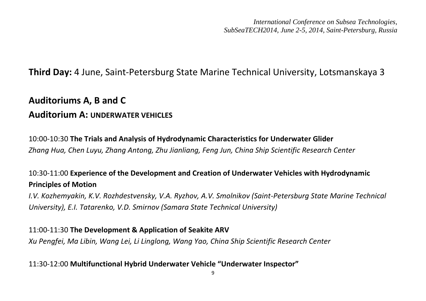# **Third Day:** 4 June, Saint-Petersburg State Marine Technical University, Lotsmanskaya 3

# **Auditoriums A, B and C Auditorium A: UNDERWATER VEHICLES**

10:00-10:30 **The Trials and Analysis of Hydrodynamic Characteristics for Underwater Glider** *Zhang Hua, Chen Luyu, Zhang Antong, Zhu Jianliang, Feng Jun, China Ship Scientific Research Center*

# 10:30-11:00 **Experience of the Development and Creation of Underwater Vehicles with Hydrodynamic Principles of Motion**

*I.V. Kozhemyakin, K.V. Rozhdestvensky, V.A. Ryzhov, A.V. Smolnikov (Saint-Petersburg State Marine Technical University), E.I. Tatarenko, V.D. Smirnov (Samara State Technical University)*

11:00-11:30 **The Development & Application of Seakite ARV** *Xu Pengfei, Ma Libin, Wang Lei, Li Linglong, Wang Yao, China Ship Scientific Research Center*

11:30-12:00 **Multifunctional Hybrid Underwater Vehicle "Underwater Inspector"**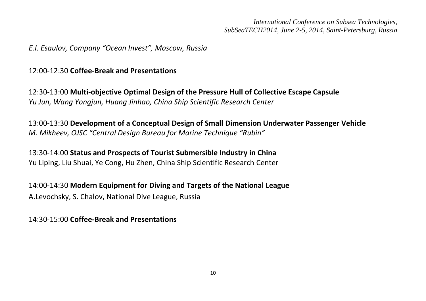#### *E.I. Esaulov, Company "Ocean Invest", Moscow, Russia*

12:00-12:30 **Coffee-Break and Presentations**

12:30-13:00 **Multi-objective Optimal Design of the Pressure Hull of Collective Escape Capsule** *Yu Jun, Wang Yongjun, Huang Jinhao, China Ship Scientific Research Center*

13:00-13:30 **Development of a Conceptual Design of Small Dimension Underwater Passenger Vehicle** *M. Mikheev, OJSC "Central Design Bureau for Marine Technique "Rubin"*

13:30-14:00 **Status and Prospects of Tourist Submersible Industry in China** Yu Liping, Liu Shuai, Ye Cong, Hu Zhen, China Ship Scientific Research Center

14:00-14:30 **Modern Equipment for Diving and Targets of the National League** A.Levochsky, S. Chalov, National Dive League, Russia

14:30-15:00 **Coffee-Break and Presentations**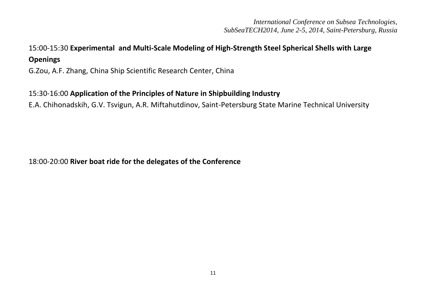# 15:00-15:30 **Experimental and Multi-Scale Modeling of High-Strength Steel Spherical Shells with Large Openings**

G.Zou, A.F. Zhang, China Ship Scientific Research Center, China

#### 15:30-16:00 **Application of the Principles of Nature in Shipbuilding Industry**

E.A. Chihonadskih, G.V. Tsvigun, A.R. Miftahutdinov, Saint-Petersburg State Marine Technical University

#### 18:00-20:00 **River boat ride for the delegates of the Conference**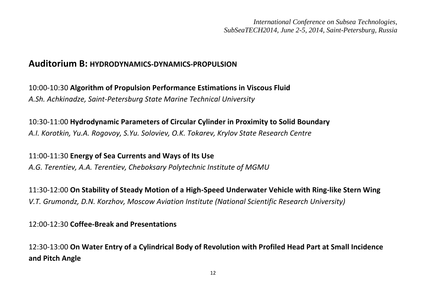## **Auditorium B: HYDRODYNAMICS-DYNAMICS-PROPULSION**

10:00-10:30 **Algorithm of Propulsion Performance Estimations in Viscous Fluid** *A.Sh. Achkinadze, Saint-Petersburg State Marine Technical University*

10:30-11:00 **Hydrodynamic Parameters of Circular Cylinder in Proximity to Solid Boundary** *A.I. Korotkin, Yu.A. Rogovoy, S.Yu. Soloviev, O.K. Tokarev, Krylov State Research Centre* 

11:00-11:30 **Energy of Sea Currents and Ways of Its Use** *A.G. Terentiev, A.A. Terentiev, Cheboksary Polytechnic Institute of MGMU*

11:30-12:00 **On Stability of Steady Motion of a High-Speed Underwater Vehicle with Ring-like Stern Wing** *V.T. Grumondz, D.N. Korzhov, Moscow Aviation Institute (National Scientific Research University)*

12:00-12:30 **Coffee-Break and Presentations**

12:30-13:00 **On Water Entry of a Cylindrical Body of Revolution with Profiled Head Part at Small Incidence and Pitch Angle**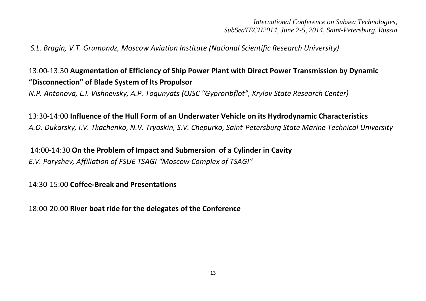*S.L. Bragin, V.T. Grumondz, Moscow Aviation Institute (National Scientific Research University)*

# 13:00-13:30 **Augmentation of Efficiency of Ship Power Plant with Direct Power Transmission by Dynamic "Disconnection" of Blade System of Its Propulsor**

*N.P. Antonova, L.I. Vishnevsky, A.P. Togunyats (OJSC "Gyproribflot", Krylov State Research Center)*

13:30-14:00 **Influence of the Hull Form of an Underwater Vehicle on its Hydrodynamic Characteristics** *A.O. Dukarsky, I.V. Tkachenko, N.V. Tryaskin, S.V. Chepurko, Saint-Petersburg State Marine Technical University*

14:00-14:30 **On the Problem of Impact and Submersion of a Cylinder in Cavity** *E.V. Paryshev, Affiliation of FSUE TSAGI "Moscow Complex of TSAGI"* 

14:30-15:00 **Coffee-Break and Presentations**

18:00-20:00 **River boat ride for the delegates of the Conference**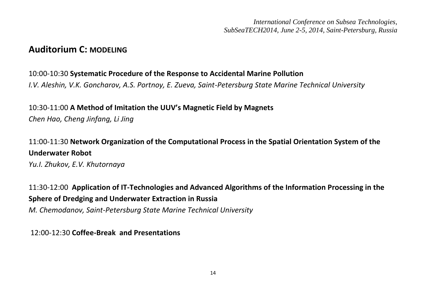## **Auditorium C: MODELING**

#### 10:00-10:30 **Systematic Procedure of the Response to Accidental Marine Pollution**

*I.V. Aleshin, V.K. Goncharov, A.S. Portnoy, E. Zueva, Saint-Petersburg State Marine Technical University*

#### 10:30-11:00 **A Method of Imitation the UUV's Magnetic Field by Magnets** *Chen Hao, Cheng Jinfang, Li Jing*

# 11:00-11:30 **Network Organization of the Computational Process in the Spatial Orientation System of the Underwater Robot**

*Yu.I. Zhukov, E.V. Khutornaya*

11:30-12:00 **Application of IT-Technologies and Advanced Algorithms of the Information Processing in the Sphere of Dredging and Underwater Extraction in Russia**

*M. Chemodanov, Saint-Petersburg State Marine Technical University*

12:00-12:30 **Coffee-Break and Presentations**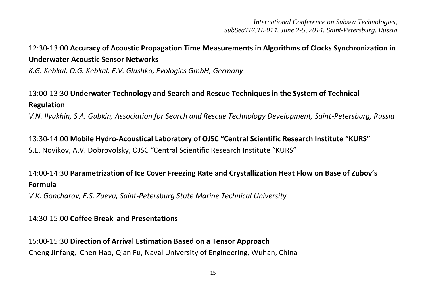# 12:30-13:00 **Accuracy of Acoustic Propagation Time Measurements in Algorithms of Clocks Synchronization in Underwater Acoustic Sensor Networks**

*K.G. Kebkal, O.G. Kebkal, E.V. Glushko, Evologics GmbH, Germany* 

# 13:00-13:30 **Underwater Technology and Search and Rescue Techniques in the System of Technical Regulation**

*V.N. Ilyukhin, S.A. Gubkin, Association for Search and Rescue Technology Development, Saint-Petersburg, Russia*

13:30-14:00 **Mobile Hydro-Acoustical Laboratory of OJSC "Central Scientific Research Institute "KURS"** S.E. Novikov, A.V. Dobrovolsky, OJSC "Central Scientific Research Institute "KURS"

# 14:00-14:30 **Parametrization of Ice Cover Freezing Rate and Crystallization Heat Flow on Base of Zubov's Formula**

*V.K. Goncharov, E.S. Zueva, Saint-Petersburg State Marine Technical University*

#### 14:30-15:00 **Coffee Break and Presentations**

15:00-15:30 **Direction of Arrival Estimation Based on a Tensor Approaсh** Cheng Jinfang, Chen Hao, Qian Fu, Naval University of Engineering, Wuhan, China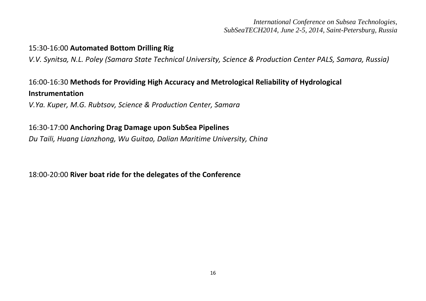#### 15:30-16:00 **Automated Bottom Drilling Rig**

*V.V. Synitsa, N.L. Poley (Samara State Technical University, Science & Production Center PALS, Samara, Russia)*

# 16:00-16:30 **Methods for Providing High Accuracy and Metrological Reliability of Hydrological Instrumentation**

*V.Ya. Kuper, M.G. Rubtsov, Science & Production Center, Samara*

#### 16:30-17:00 **Anchoring Drag Damage upon SubSea Pipelines**

*Du Taili, Huang Lianzhong, Wu Guitao, Dalian Maritime University, China*

18:00-20:00 **River boat ride for the delegates of the Conference**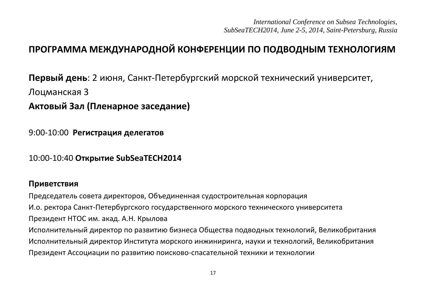# **ПРОГРАММА МЕЖДУНАРОДНОЙ КОНФЕРЕНЦИИ ПО ПОДВОДНЫМ ТЕХНОЛОГИЯМ**

**Первый день**: 2 июня, Санкт-Петербургский морской технический университет, Лоцманская 3 **Актовый Зал (Пленарное заседание)** 

9:00-10:00 **Регистрация делегатов**

10:00-10:40 **Открытие SubSeaTECH2014**

#### **Приветствия**

Председатель совета директоров, Объединенная судостроительная корпорация И.о. ректора Санкт-Петербургского государственного морского технического университета Президент НТОС им. акад. А.Н. Крылова Исполнительный директор по развитию бизнеса Общества подводных технологий, Великобритания Исполнительный директор Института морского инжиниринга, науки и технологий, Великобритания Президент Ассоциации по развитию поисково-спасательной техники и технологии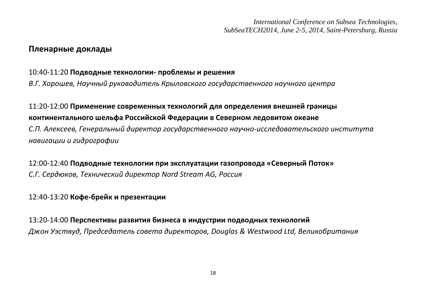#### **Пленарные доклады**

#### 10:40-11:20 **Подводные технологии- проблемы и решения**

*В.Г. Хорошев, Научный руководитель Крыловского государственного научного центра* 

# 11:20-12:00 **Применение современных технологий для определения внешней границы континентального шельфа Российской Федерации в Северном ледовитом океане**

*С.П. Алексеев, Генеральный директор государственного научно-исследовательского института навигации и гидрографии* 

12:00-12:40 **Подводные технологии при эксплуатации газопровода «Северный Поток»**  *С.Г. Сердюков, Технический директор Nord Stream AG, Россия* 

### 12:40-13:20 **Кофе-брейк и презентации**

13:20-14:00 **Перспективы развития бизнеса в индустрии подводных технологий**  *Джон Уэствуд, Председатель совета директоров, Douglas & Westwood Ltd, Великобритания*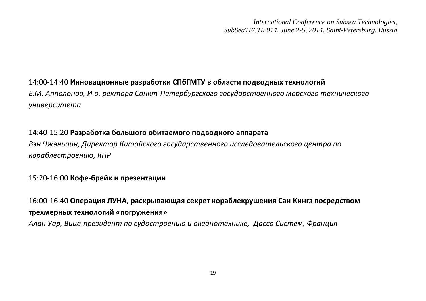#### 14:00-14:40 **Инновационные разработки СПбГМТУ в области подводных технологий**

*Е.М. Апполонов, И.о. ректора Санкт-Петербургского государственного морского технического университета*

#### 14:40-15:20 **Разработка большого обитаемого подводного аппарата**

*Вэн Чжэньпин, Директор Китайского государственного исследовательского центра по кораблестроению, КНР*

#### 15:20-16:00 **Кофе-брейк и презентации**

16:00-16:40 **Операция ЛУНА, раскрывающая секрет кораблекрушения Сан Кингз посредством трехмерных технологий «погружения»** *Алан Уар, Вице-президент по судостроению и океанотехнике, Дассо Систем, Франция*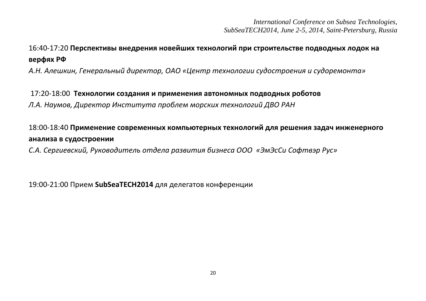# 16:40-17:20 **Перспективы внедрения новейших технологий при строительстве подводных лодок на верфях РФ**

*А.Н. Алешкин, Генеральный директор, ОАО «Центр технологии судостроения и судоремонта»*

#### 17:20-18:00 **Технологии создания и применения автономных подводных роботов**

*Л.А. Наумов, Директор Института проблем морских технологий ДВО РАН* 

# 18:00-18:40 **Применение современных компьютерных технологий для решения задач инженерного анализа в судостроении**

*С.А. Сергиевский, Руководитель отдела развития бизнеса ООО «ЭмЭсСи Софтвэр Рус»* 

19:00-21:00 Прием **SubSeaTECH2014** для делегатов конференции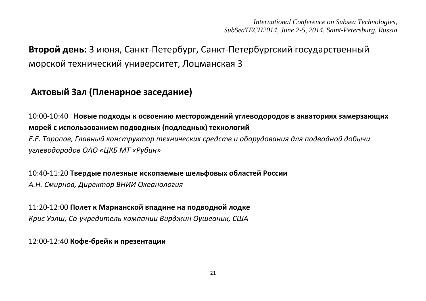# **Второй день:** 3 июня, Санкт-Петербург, Санкт-Петербургский государственный морской технический университет, Лоцманская 3

# **Актовый Зал (Пленарное заседание)**

10:00-10:40 **Новые подходы к освоению месторождений углеводородов в акваториях замерзающих морей с использованием подводных (подледных) технологий** *Е.Е. Торопов, Главный конструктор технических средств и оборудования для подводной добычи углеводородов ОАО «ЦКБ МТ «Рубин»*

10:40-11:20 **Твердые полезные ископаемые шельфовых областей России** *А.Н. Смирнов, Директор ВНИИ Океанология* 

11:20-12:00 **Полет к Марианской впадине на подводной лодке**

*Крис Уэлш, Со-учредитель компании Вирджин Оушеаник, США*

12:00-12:40 **Кофе-брейк и презентации**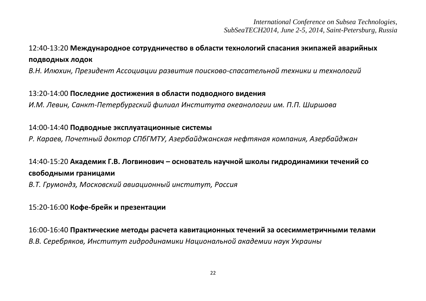# 12:40-13:20 **Международное сотрудничество в области технологий спасания экипажей аварийных подводных лодок**

*В.Н. Илюхин, Президент Ассоциации развития поисково-спасательной техники и технологий* 

13:20-14:00 **Последние достижения в области подводного видения**  *И.М. Левин, Санкт-Петербургский филиал Института океанологии им. П.П. Ширшова*

#### 14:00-14:40 **Подводные эксплуатационные системы**

*Р. Караев, Почетный доктор СПбГМТУ, Азербайджанская нефтяная компания, Азербайджан* 

# 14:40-15:20 **Академик Г.В. Логвинович – основатель научной школы гидродинамики течений со свободными границами**

*В.Т. Грумондз, Московский авиационный институт, Россия* 

#### 15:20-16:00 **Кофе-брейк и презентации**

16:00-16:40 **Практические методы расчета кавитационных течений за осесимметричными телами**  *В.В. Серебряков, Институт гидродинамики Национальной академии наук Украины*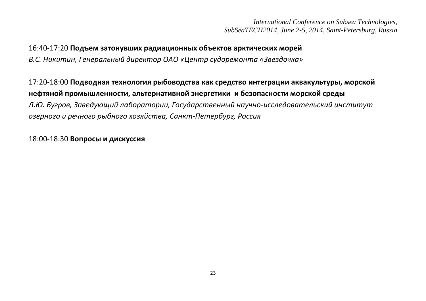16:40-17:20 **Подъем затонувших радиационных объектов арктических морей** *В.С. Никитин, Генеральный директор ОАО «Центр судоремонта «Звездочка»* 

17:20-18:00 **Подводная технология рыбоводства как средство интеграции аквакультуры, морской нефтяной промышленности, альтернативной энергетики и безопасности морской среды** *Л.Ю. Бугров, Заведующий лаборатории, Государственный научно-исследовательский институт озерного и речного рыбного хозяйства, Санкт-Петербург, Россия* 

18:00-18:30 **Вопросы и дискуссия**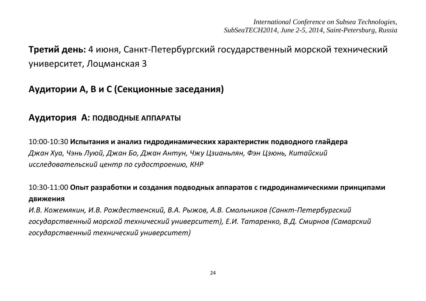# **Третий день:** 4 июня, Санкт-Петербургский государственный морской технический университет, Лоцманская 3

# **Аудитории A, B и C (Секционные заседания)**

# **Аудитория A: ПОДВОДНЫЕ АППАРАТЫ**

10:00-10:30 **Испытания и анализ гидродинамических характеристик подводного глайдера** *Джан Хуа, Чэнь Луюй, Джан Бо, Джан Антун, Чжу Цзианьлян, Фэн Цзюнь, Китайский исследовательский центр по судостроению, КНР*

# 10:30-11:00 **Опыт разработки и создания подводных аппаратов с гидродинамическими принципами движения**

*И.В. Кожемякин, И.В. Рождественский, В.А. Рыжов, А.В. Смольников (Санкт-Петербургский государственный морской технический университет), Е.И. Татаренко, В.Д. Смирнов (Самарский государственный технический университет)*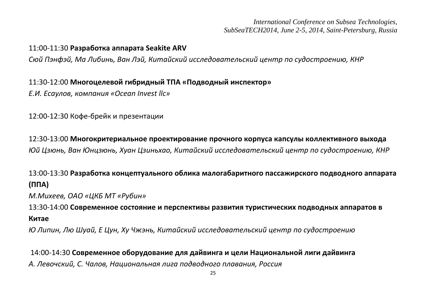#### 11:00-11:30 **Разработка аппарата Seakite ARV**

*Сюй Пэнфэй, Ма Либинь, Ван Лэй, Китайский исследовательский центр по судостроению, КНР*

#### 11:30-12:00 **Многоцелевой гибридный ТПА «Подводный инспектор»**

*Е.И. Есаулов, компания «Ocean Invest llc»* 

12:00-12:30 Кофе-брейк и презентации

12:30-13:00 **Многокритериальное проектирование прочного корпуса капсулы коллективного выхода** *Юй Цзюнь, Ван Юнцзюнь, Хуан Цзиньхао, Китайский исследовательский центр по судостроению, КНР*

13:00-13:30 **Разработка концептуального облика малогабаритного пассажирского подводного аппарата (ППА)**

*М.Михеев, ОАО «ЦКБ МТ «Рубин»*

13:30-14:00 **Современное состояние и перспективы развития туристических подводных аппаратов в Китае**

*Ю Липин, Лю Шуай, Е Цун, Ху Чжэнь, Китайский исследовательский центр по судостроению*

14:00-14:30 **Современное оборудование для дайвинга и цели Национальной лиги дайвинга** *А. Левочский, С. Чалов, Национальная лига подводного плавания, Россия*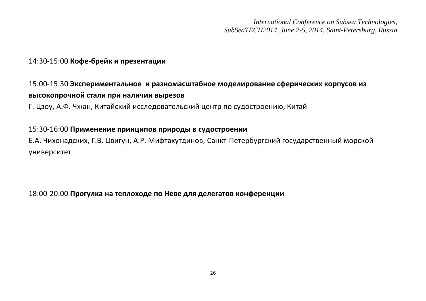#### 14:30-15:00 **Кофе-брейк и презентации**

# 15:00-15:30 **Экспериментальное и разномасштабное моделирование сферических корпусов из высокопрочной стали при наличии вырезов**

Г. Цзоу, А.Ф. Чжан, Китайский исследовательский центр по судостроению, Китай

#### 15:30-16:00 **Применение принципов природы в судостроении**

Е.А. Чихонадских, Г.В. Цвигун, А.Р. Мифтахутдинов, Санкт-Петербургский государственный морской университет

18:00-20:00 **Прогулка на теплоходе по Неве для делегатов конференции**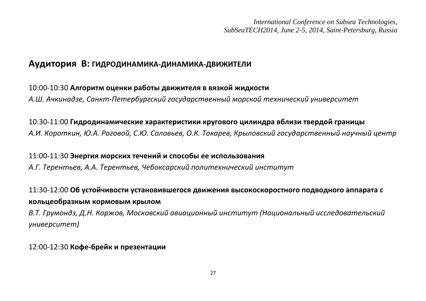#### **Аудитория B: ГИДРОДИНАМИКА-ДИНАМИКА-ДВИЖИТЕЛИ**

#### 10:00-10:30 **Алгоритм оценки работы движителя в вязкой жидкости**

*А.Ш. Ачкинадзе, Санкт-Петербургский государственный морской технический университет*

#### 10:30-11:00 **Гидродинамические характеристики кругового цилиндра вблизи твердой границы**

*А.И. Короткин, Ю.А. Роговой, С.Ю. Соловьев, О.К. Токарев, Крыловский государственный научный центр*

11:00-11:30 **Энергия морских течений и способы ее использования**

*А.Г. Терентьев, А.А. Терентьев, Чебоксарский политехнический институт*

# 11:30-12:00 **Об устойчивости установившегося движения высокоскоростного подводного аппарата с кольцеобразным кормовым крылом**

*В.Т. Грумондз, Д.Н. Коржов, Московский авиационный институт (Национальный исследовательский университет)* 

#### 12:00-12:30 **Кофе-брейк и презентации**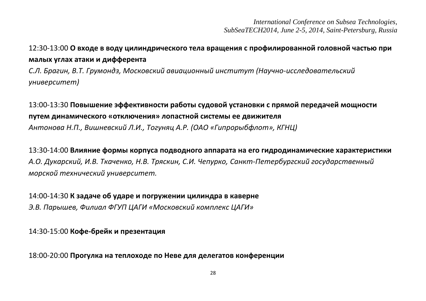# 12:30-13:00 **О входе в воду цилиндрического тела вращения с профилированной головной частью при малых углах атаки и дифферента**

*С.Л. Брагин, В.Т. Грумондз, Московский авиационный институт (Научно-исследовательский университет)*

# 13:00-13:30 **Повышение эффективности работы судовой установки с прямой передачей мощности путем динамического «отключения» лопастной системы ее движителя**

*Антонова Н.П., Вишневский Л.И., Тогуняц А.Р. (ОАО «Гипрорыбфлот», КГНЦ)*

13:30-14:00 **Влияние формы корпуса подводного аппарата на его гидродинамические характеристики** *А.О. Дукарский, И.В. Ткаченко, Н.В. Тряскин, С.И. Чепурко, Санкт-Петербургский государственный морской технический университет.*

14:00-14:30 **К задаче об ударе и погружении цилиндра в каверне** *Э.В. Парышев, Филиал ФГУП ЦАГИ «Московский комплекс ЦАГИ»* 

14:30-15:00 **Кофе-брейк и презентация**

18:00-20:00 **Прогулка на теплоходе по Неве для делегатов конференции**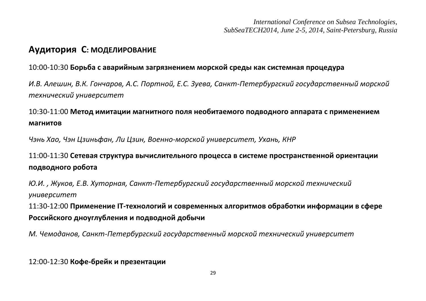# **Аудитория С: МOДЕЛИРОВАНИЕ**

#### 10:00-10:30 **Борьба с аварийным загрязнением морской среды как системная процедура**

*И.В. Алешин, В.К. Гончаров, А.С. Портной, Е.С. Зуева, Санкт-Петербургский государственный морской технический университет* 

# 10:30-11:00 **Метод имитации магнитного поля необитаемого подводного аппарата с применением магнитов**

*Чэнь Хао, Чэн Цзиньфан, Ли Цзин, Военно-морской университет, Ухань, КНР*

# 11:00-11:30 **Сетевая структура вычислительного процесса в системе пространственной ориентации подводного робота**

*Ю.И. , Жуков, Е.В. Хуторная, Санкт-Петербургский государственный морской технический университет* 

11:30-12:00 **Применение IT-технологий и современных алгоритмов обработки информации в сфере Российского дноуглубления и подводной добычи**

*М. Чемоданов, Санкт-Петербургский государственный морской технический университет*

12:00-12:30 **Кофе-брейк и презентации**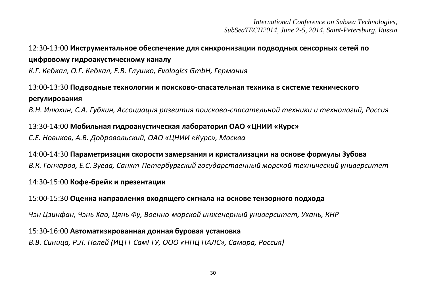# 12:30-13:00 **Инструментальное обеспечение для синхронизации подводных сенсорных сетей по цифровому гидроакустическому каналу**

*К.Г. Кебкал, О.Г. Кебкал, Е.В. Глушко, Evologics GmbH, Германия*

# 13:00-13:30 **Подводные технологии и поисково-спасательная техника в системе технического регулирования**

*В.Н. Илюхин, С.А. Губкин, Ассоциация развития поисково-спасательной техники и технологий, Россия*

## 13:30-14:00 **Мобильная гидроакустическая лаборатория ОАО «ЦНИИ «Курс»**  *С.Е. Новиков, А.В. Добровольский, ОАО «ЦНИИ «Курс», Москва*

14:00-14:30 **Параметризация скорости замерзания и кристализации на основе формулы Зубова** *В.К. Гончаров, Е.С. Зуева, Санкт-Петербургский государственный морской технический университет*

### 14:30-15:00 **Кофе-брейк и презентации**

15:00-15:30 **Оценка направления входящего сигнала на основе тензорного подхода**

*Чэн Цзинфан, Чэнь Хао, Цянь Фу, Военно-морской инженерный университет, Ухань, КНР* 

15:30-16:00 **Автоматизированная донная буровая установка** *В.В. Синица, Р.Л. Полей (ИЦТТ СамГТУ, ООО «НПЦ ПАЛС», Самара, Россия)*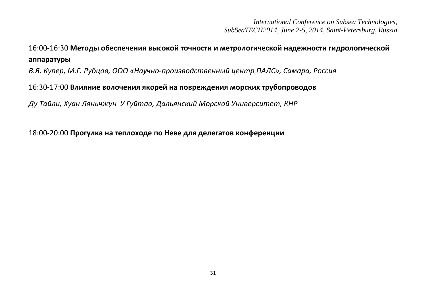# 16:00-16:30 **Методы обеспечения высокой точности и метрологической надежности гидрологической аппаратуры**

*В.Я. Купер, М.Г. Рубцов, ООО «Научно-производственный центр ПАЛС», Самара, Россия*

#### 16:30-17:00 **Влияние волочения якорей на повреждения морских трубопроводов**

*Ду Тайли, Хуан Ляньчжун У Гуйтао, Дальянский Морской Университет, КНР* 

18:00-20:00 **Прогулка на теплоходе по Неве для делегатов конференции**